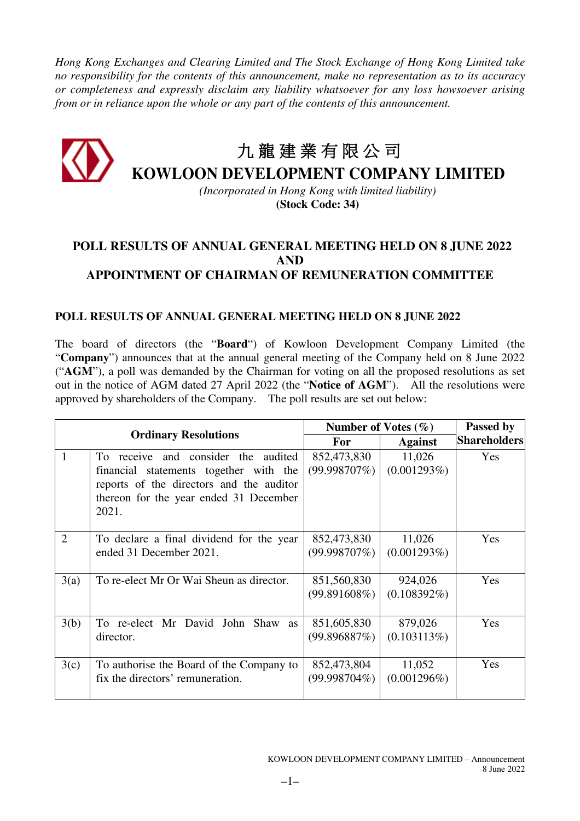*Hong Kong Exchanges and Clearing Limited and The Stock Exchange of Hong Kong Limited take no responsibility for the contents of this announcement, make no representation as to its accuracy or completeness and expressly disclaim any liability whatsoever for any loss howsoever arising from or in reliance upon the whole or any part of the contents of this announcement.* 

## 九 龍 建 業 有 限 公 司 **KOWLOON DEVELOPMENT COMPANY LIMITED**

*(Incorporated in Hong Kong with limited liability)*  **(Stock Code: 34)** 

## **POLL RESULTS OF ANNUAL GENERAL MEETING HELD ON 8 JUNE 2022 AND APPOINTMENT OF CHAIRMAN OF REMUNERATION COMMITTEE**

## **POLL RESULTS OF ANNUAL GENERAL MEETING HELD ON 8 JUNE 2022**

The board of directors (the "**Board**") of Kowloon Development Company Limited (the "**Company**") announces that at the annual general meeting of the Company held on 8 June 2022 ("**AGM**"), a poll was demanded by the Chairman for voting on all the proposed resolutions as set out in the notice of AGM dated 27 April 2022 (the "**Notice of AGM**"). All the resolutions were approved by shareholders of the Company. The poll results are set out below:

| <b>Ordinary Resolutions</b> |                                                                                                                                                                                 | Number of Votes $(\% )$        |                           | Passed by           |
|-----------------------------|---------------------------------------------------------------------------------------------------------------------------------------------------------------------------------|--------------------------------|---------------------------|---------------------|
|                             |                                                                                                                                                                                 | <b>For</b>                     | <b>Against</b>            | <b>Shareholders</b> |
| 1                           | To receive and consider the<br>audited<br>financial statements together with the<br>reports of the directors and the auditor<br>thereon for the year ended 31 December<br>2021. | 852,473,830<br>$(99.998707\%)$ | 11,026<br>(0.001293%)     | Yes                 |
| $\overline{2}$              | To declare a final dividend for the year<br>ended 31 December 2021.                                                                                                             | 852,473,830<br>$(99.998707\%)$ | 11,026<br>(0.001293%)     | Yes                 |
| 3(a)                        | To re-elect Mr Or Wai Sheun as director.                                                                                                                                        | 851,560,830<br>(99.891608%)    | 924,026<br>$(0.108392\%)$ | Yes                 |
| 3(b)                        | To re-elect Mr David John Shaw as<br>director.                                                                                                                                  | 851,605,830<br>(99.896887%)    | 879,026<br>(0.103113%)    | Yes                 |
| 3(c)                        | To authorise the Board of the Company to<br>fix the directors' remuneration.                                                                                                    | 852,473,804<br>$(99.998704\%)$ | 11,052<br>$(0.001296\%)$  | Yes                 |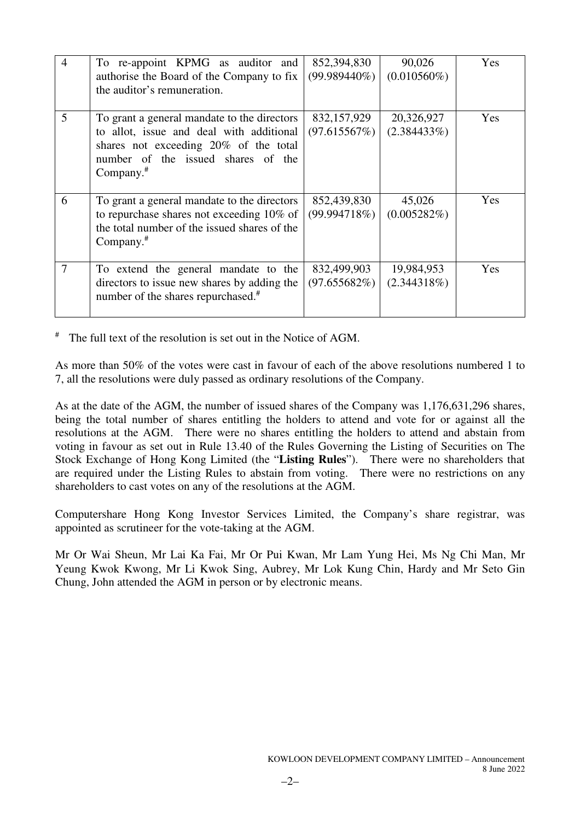| $\overline{4}$ | To re-appoint KPMG as auditor and<br>authorise the Board of the Company to fix<br>the auditor's remuneration.                                                                          | 852,394,830<br>$(99.989440\%)$ | 90,026<br>$(0.010560\%)$     | Yes |
|----------------|----------------------------------------------------------------------------------------------------------------------------------------------------------------------------------------|--------------------------------|------------------------------|-----|
| 5              | To grant a general mandate to the directors<br>to allot, issue and deal with additional<br>shares not exceeding 20% of the total<br>number of the issued shares of the<br>Company. $#$ | 832,157,929<br>(97.615567%)    | 20,326,927<br>$(2.384433\%)$ | Yes |
| 6              | To grant a general mandate to the directors<br>to repurchase shares not exceeding 10% of<br>the total number of the issued shares of the<br>Company. $#$                               | 852,439,830<br>(99.994718%)    | 45,026<br>(0.005282%)        | Yes |
| 7              | To extend the general mandate to the<br>directors to issue new shares by adding the<br>number of the shares repurchased. <sup>#</sup>                                                  | 832,499,903<br>$(97.655682\%)$ | 19,984,953<br>(2.344318%)    | Yes |

# The full text of the resolution is set out in the Notice of AGM.

As more than 50% of the votes were cast in favour of each of the above resolutions numbered 1 to 7, all the resolutions were duly passed as ordinary resolutions of the Company.

As at the date of the AGM, the number of issued shares of the Company was 1,176,631,296 shares, being the total number of shares entitling the holders to attend and vote for or against all the resolutions at the AGM. There were no shares entitling the holders to attend and abstain from voting in favour as set out in Rule 13.40 of the Rules Governing the Listing of Securities on The Stock Exchange of Hong Kong Limited (the "**Listing Rules**"). There were no shareholders that are required under the Listing Rules to abstain from voting. There were no restrictions on any shareholders to cast votes on any of the resolutions at the AGM.

Computershare Hong Kong Investor Services Limited, the Company's share registrar, was appointed as scrutineer for the vote-taking at the AGM.

Mr Or Wai Sheun, Mr Lai Ka Fai, Mr Or Pui Kwan, Mr Lam Yung Hei, Ms Ng Chi Man, Mr Yeung Kwok Kwong, Mr Li Kwok Sing, Aubrey, Mr Lok Kung Chin, Hardy and Mr Seto Gin Chung, John attended the AGM in person or by electronic means.